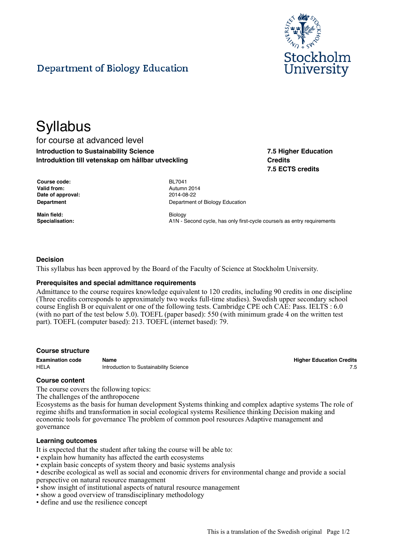

# Department of Biology Education

# **Syllabus**

for course at advanced level **Introduction to Sustainability Science Introduktion till vetenskap om hållbar utveckling**

**7.5 Higher Education Credits 7.5 ECTS credits**

| <b>Course code:</b> |
|---------------------|
| Valid from:         |
| Date of approval:   |
| Department          |

**Main field:** Biology

**Course code:** BL7041 **Valid from:** Autumn 2014 **Date of approval:** 2014-08-22 **Department of Biology Education** 

**Specialisation:** A1N - Second cycle, has only first-cycle course/s as entry requirements

### **Decision**

This syllabus has been approved by the Board of the Faculty of Science at Stockholm University.

#### **Prerequisites and special admittance requirements**

Admittance to the course requires knowledge equivalent to 120 credits, including 90 credits in one discipline (Three credits corresponds to approximately two weeks full-time studies). Swedish upper secondary school course English B or equivalent or one of the following tests. Cambridge CPE och CAE: Pass. IELTS : 6.0 (with no part of the test below 5.0). TOEFL (paper based): 550 (with minimum grade 4 on the written test part). TOEFL (computer based): 213. TOEFL (internet based): 79.

#### **Course structure**

HELA **Introduction to Sustainability Science** 7.5 and 7.5 and 7.5 and 7.5 and 7.5 and 7.5 and 7.5 and 7.5 and 7.5 and 7.5 and 7.5 and 7.5 and 7.5 and 7.5 and 7.5 and 7.5 and 7.5 and 7.5 and 7.5 and 7.5 and 7.5 and 7.5 and

**Examination code Name Higher Education Credits**

#### **Course content**

The course covers the following topics:

The challenges of the anthropocene

Ecosystems as the basis for human development Systems thinking and complex adaptive systems The role of regime shifts and transformation in social ecological systems Resilience thinking Decision making and economic tools for governance The problem of common pool resources Adaptive management and governance

#### **Learning outcomes**

It is expected that the student after taking the course will be able to:

- explain how humanity has affected the earth ecosystems
- explain basic concepts of system theory and basic systems analysis

• describe ecological as well as social and economic drivers for environmental change and provide a social perspective on natural resource management

- show insight of institutional aspects of natural resource management
- show a good overview of transdisciplinary methodology
- define and use the resilience concept